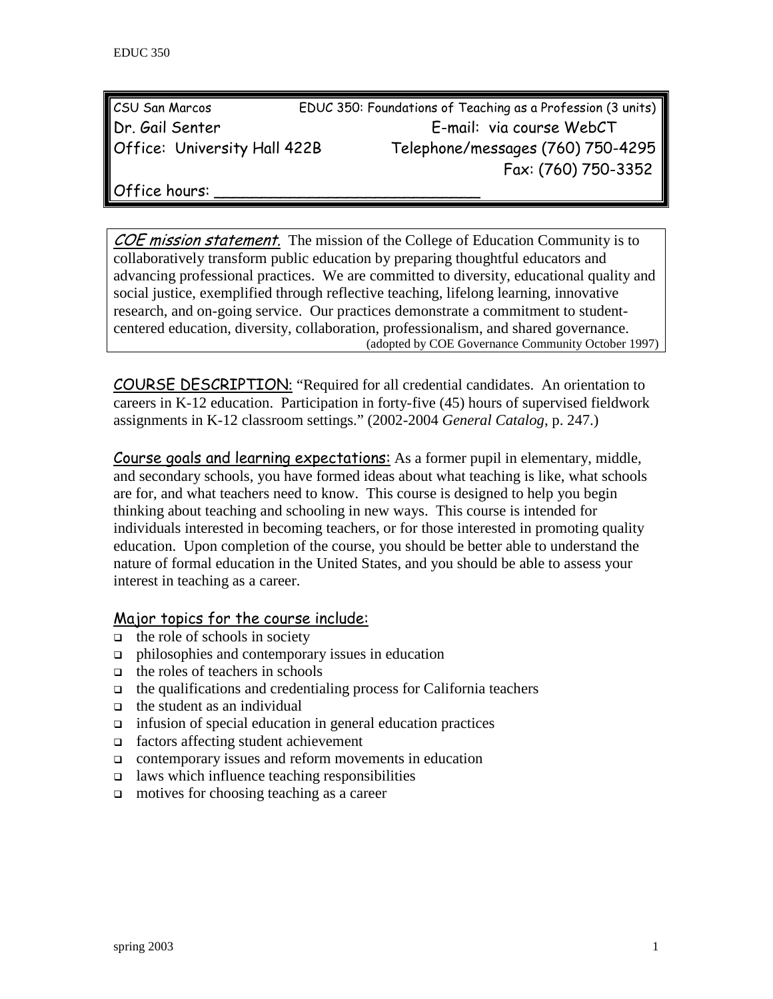| <b>CSU San Marcos</b>               | EDUC 350: Foundations of Teaching as a Profession (3 units) |
|-------------------------------------|-------------------------------------------------------------|
| Dr. Gail Senter                     | E-mail: via course WebCT                                    |
| <b>Office: University Hall 422B</b> | Telephone/messages (760) 750-4295                           |
|                                     | Fax: (760) 750-3352                                         |

Office hours:

COE mission statement. The mission of the College of Education Community is to collaboratively transform public education by preparing thoughtful educators and advancing professional practices. We are committed to diversity, educational quality and social justice, exemplified through reflective teaching, lifelong learning, innovative research, and on-going service. Our practices demonstrate a commitment to studentcentered education, diversity, collaboration, professionalism, and shared governance. (adopted by COE Governance Community October 1997)

COURSE DESCRIPTION: "Required for all credential candidates. An orientation to careers in K-12 education. Participation in forty-five (45) hours of supervised fieldwork assignments in K-12 classroom settings." (2002-2004 *General Catalog*, p. 247.)

Course goals and learning expectations: As a former pupil in elementary, middle, and secondary schools, you have formed ideas about what teaching is like, what schools are for, and what teachers need to know. This course is designed to help you begin thinking about teaching and schooling in new ways. This course is intended for individuals interested in becoming teachers, or for those interested in promoting quality education. Upon completion of the course, you should be better able to understand the nature of formal education in the United States, and you should be able to assess your interest in teaching as a career.

#### Major topics for the course include:

- $\Box$  the role of schools in society
- $\Box$  philosophies and contemporary issues in education
- $\Box$  the roles of teachers in schools
- $\Box$  the qualifications and credentialing process for California teachers
- $\Box$  the student as an individual
- $\Box$  infusion of special education in general education practices
- factors affecting student achievement
- contemporary issues and reform movements in education
- $\Box$  laws which influence teaching responsibilities
- $\Box$  motives for choosing teaching as a career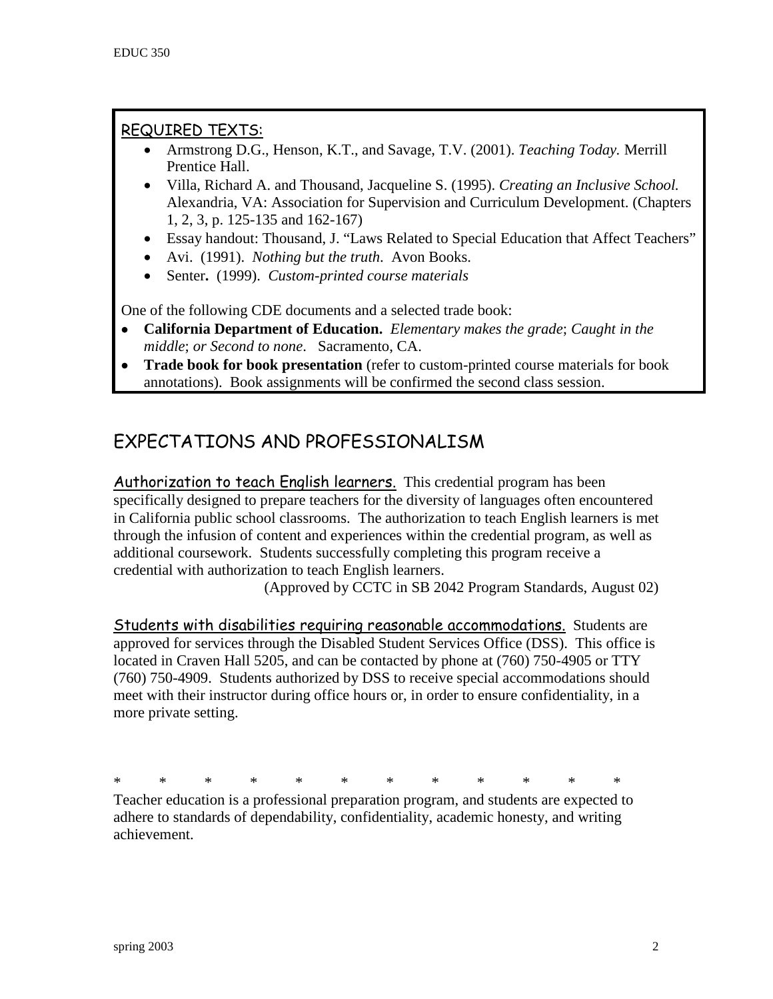## REQUIRED TEXTS:

- Armstrong D.G., Henson, K.T., and Savage, T.V. (2001). *Teaching Today.* Merrill Prentice Hall.
- Villa, Richard A. and Thousand, Jacqueline S. (1995). *Creating an Inclusive School.* Alexandria, VA: Association for Supervision and Curriculum Development. (Chapters 1, 2, 3, p. 125-135 and 162-167)
- Essay handout: Thousand, J. "Laws Related to Special Education that Affect Teachers"
- Avi. (1991). *Nothing but the truth*. Avon Books.
- Senter**.** (1999). *Custom-printed course materials*

One of the following CDE documents and a selected trade book:

- **California Department of Education.** *Elementary makes the grade*; *Caught in the middle*; *or Second to none*. Sacramento, CA.
- **Trade book for book presentation** (refer to custom-printed course materials for book annotations). Book assignments will be confirmed the second class session.

# EXPECTATIONS AND PROFESSIONALISM

Authorization to teach English learners. This credential program has been specifically designed to prepare teachers for the diversity of languages often encountered in California public school classrooms. The authorization to teach English learners is met through the infusion of content and experiences within the credential program, as well as additional coursework. Students successfully completing this program receive a credential with authorization to teach English learners.

(Approved by CCTC in SB 2042 Program Standards, August 02)

Students with disabilities requiring reasonable accommodations. Students are approved for services through the Disabled Student Services Office (DSS). This office is located in Craven Hall 5205, and can be contacted by phone at (760) 750-4905 or TTY (760) 750-4909. Students authorized by DSS to receive special accommodations should meet with their instructor during office hours or, in order to ensure confidentiality, in a more private setting.

\* \* \* \* \* \* \* \* \* \* \* \*

Teacher education is a professional preparation program, and students are expected to adhere to standards of dependability, confidentiality, academic honesty, and writing achievement.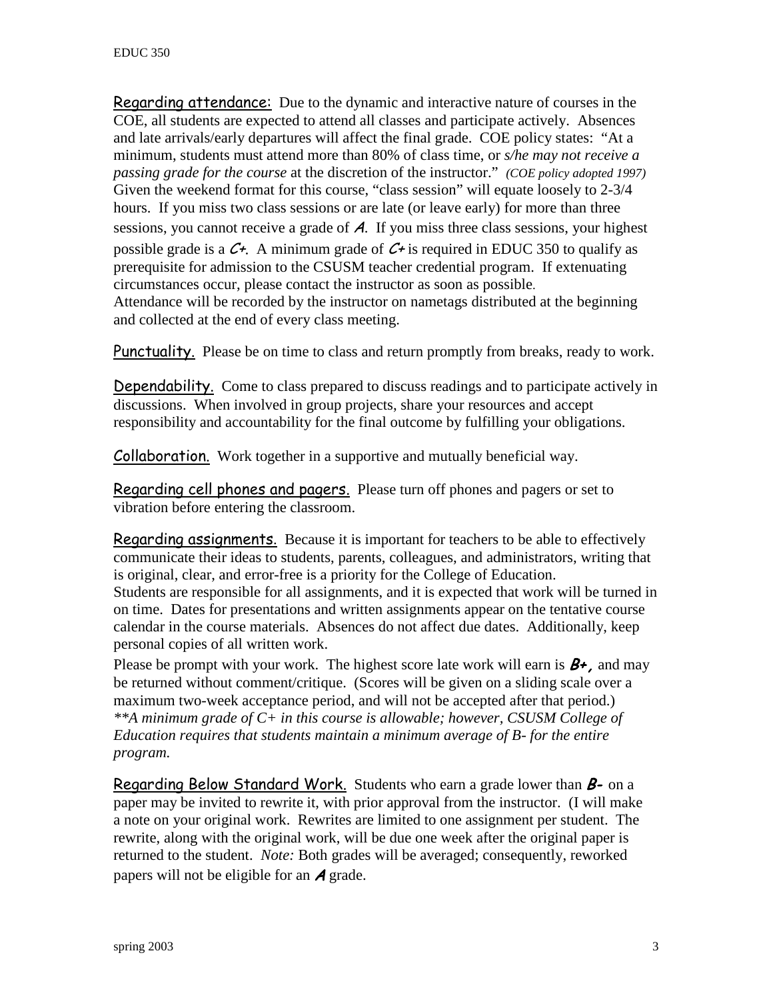Regarding attendance: Due to the dynamic and interactive nature of courses in the COE, all students are expected to attend all classes and participate actively. Absences and late arrivals/early departures will affect the final grade. COE policy states: "At a minimum, students must attend more than 80% of class time, or *s/he may not receive a passing grade for the course* at the discretion of the instructor." *(COE policy adopted 1997)*  Given the weekend format for this course, "class session" will equate loosely to 2-3/4 hours. If you miss two class sessions or are late (or leave early) for more than three sessions, you cannot receive a grade of A. If you miss three class sessions, your highest possible grade is a  $C_{\tau}$ . A minimum grade of  $C_{\tau}$  is required in EDUC 350 to qualify as prerequisite for admission to the CSUSM teacher credential program. If extenuating circumstances occur, please contact the instructor as soon as possible. Attendance will be recorded by the instructor on nametags distributed at the beginning and collected at the end of every class meeting.

Punctuality. Please be on time to class and return promptly from breaks, ready to work.

Dependability. Come to class prepared to discuss readings and to participate actively in discussions. When involved in group projects, share your resources and accept responsibility and accountability for the final outcome by fulfilling your obligations.

Collaboration. Work together in a supportive and mutually beneficial way.

Regarding cell phones and pagers. Please turn off phones and pagers or set to vibration before entering the classroom.

Regarding assignments. Because it is important for teachers to be able to effectively communicate their ideas to students, parents, colleagues, and administrators, writing that is original, clear, and error-free is a priority for the College of Education. Students are responsible for all assignments, and it is expected that work will be turned in on time. Dates for presentations and written assignments appear on the tentative course calendar in the course materials. Absences do not affect due dates. Additionally, keep personal copies of all written work.

Please be prompt with your work. The highest score late work will earn is  $B^+$ , and may be returned without comment/critique. (Scores will be given on a sliding scale over a maximum two-week acceptance period, and will not be accepted after that period.) *\*\*A minimum grade of C+ in this course is allowable; however, CSUSM College of Education requires that students maintain a minimum average of B- for the entire program.*

Regarding Below Standard Work. Students who earn a grade lower than  $B$ - on a paper may be invited to rewrite it, with prior approval from the instructor. (I will make a note on your original work. Rewrites are limited to one assignment per student. The rewrite, along with the original work, will be due one week after the original paper is returned to the student. *Note:* Both grades will be averaged; consequently, reworked papers will not be eligible for an  $\boldsymbol{A}$  grade.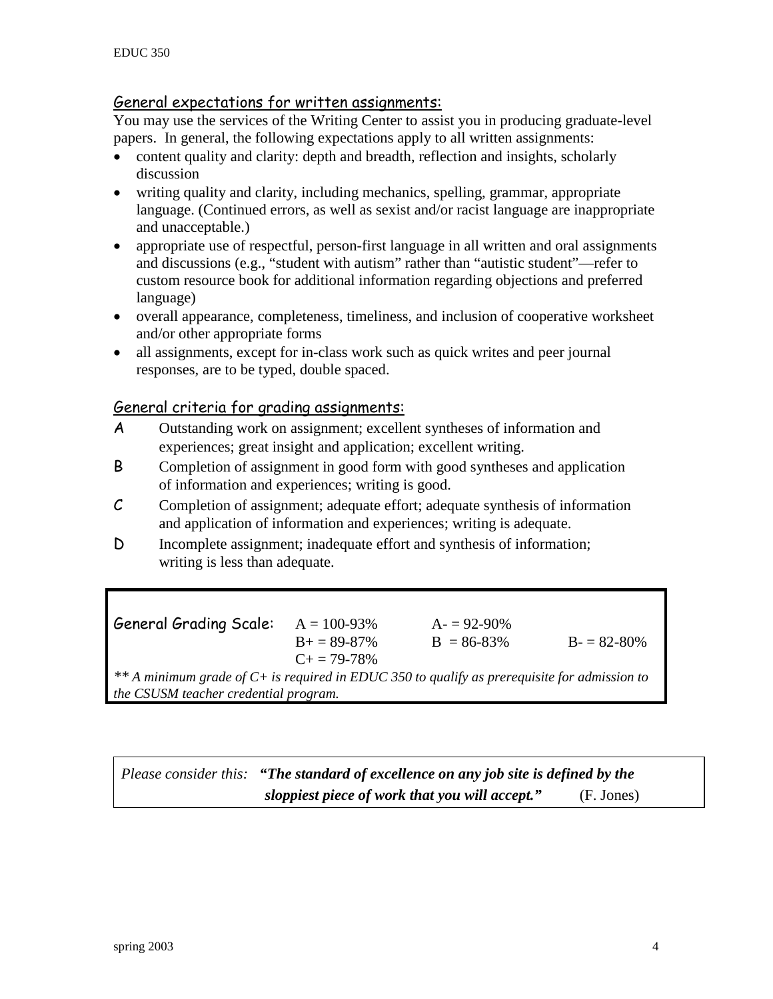#### General expectations for written assignments:

You may use the services of the Writing Center to assist you in producing graduate-level papers. In general, the following expectations apply to all written assignments:

- content quality and clarity: depth and breadth, reflection and insights, scholarly discussion
- writing quality and clarity, including mechanics, spelling, grammar, appropriate language. (Continued errors, as well as sexist and/or racist language are inappropriate and unacceptable.)
- appropriate use of respectful, person-first language in all written and oral assignments and discussions (e.g., "student with autism" rather than "autistic student"—refer to custom resource book for additional information regarding objections and preferred language)
- overall appearance, completeness, timeliness, and inclusion of cooperative worksheet and/or other appropriate forms
- all assignments, except for in-class work such as quick writes and peer journal responses, are to be typed, double spaced.

#### General criteria for grading assignments:

- A Outstanding work on assignment; excellent syntheses of information and experiences; great insight and application; excellent writing.
- B Completion of assignment in good form with good syntheses and application of information and experiences; writing is good.
- C Completion of assignment; adequate effort; adequate synthesis of information and application of information and experiences; writing is adequate.
- D Incomplete assignment; inadequate effort and synthesis of information; writing is less than adequate.

| <b>General Grading Scale:</b>                                                                  | $A = 100 - 93\%$      | $A = 92-90%$ |                 |  |
|------------------------------------------------------------------------------------------------|-----------------------|--------------|-----------------|--|
|                                                                                                | $B_{+} = 89 - 87\%$   | $B = 86-83%$ | $B = 82 - 80\%$ |  |
|                                                                                                | $C_{\pm} = 79 - 78\%$ |              |                 |  |
| ** A minimum grade of $C+$ is required in EDUC 350 to qualify as prerequisite for admission to |                       |              |                 |  |
| the CSUSM teacher credential program.                                                          |                       |              |                 |  |

*Please consider this: "The standard of excellence on any job site is defined by the sloppiest piece of work that you will accept."* (F. Jones)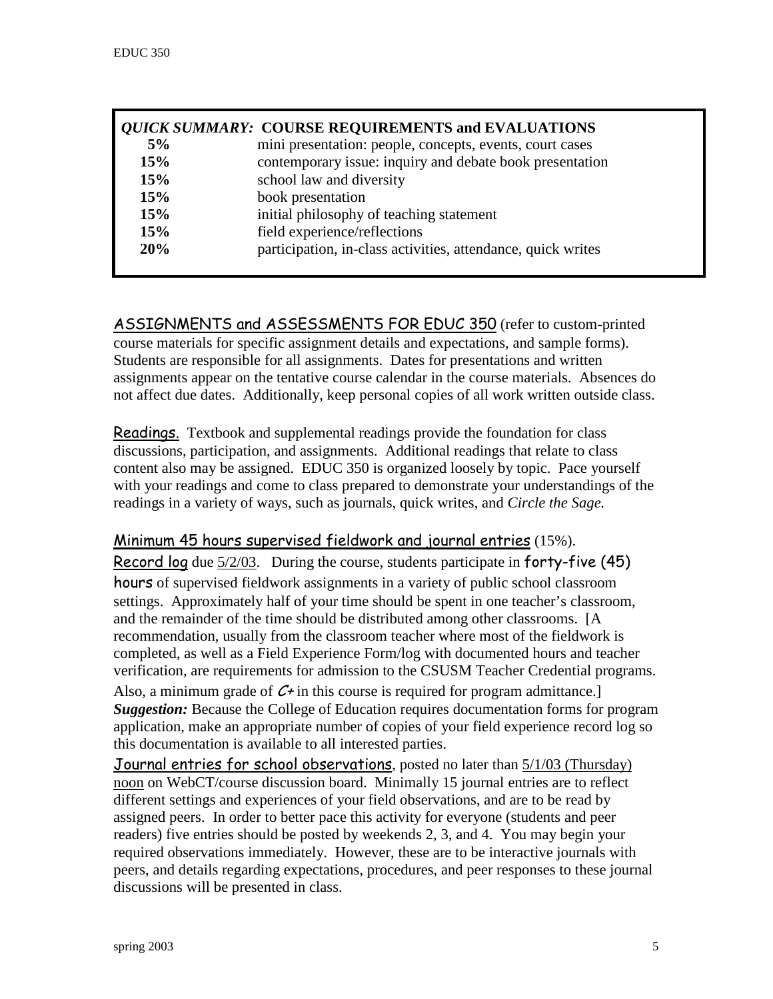|     | <b>QUICK SUMMARY: COURSE REQUIREMENTS and EVALUATIONS</b>    |
|-----|--------------------------------------------------------------|
| 5%  | mini presentation: people, concepts, events, court cases     |
| 15% | contemporary issue: inquiry and debate book presentation     |
| 15% | school law and diversity                                     |
| 15% | book presentation                                            |
| 15% | initial philosophy of teaching statement                     |
| 15% | field experience/reflections                                 |
| 20% | participation, in-class activities, attendance, quick writes |

ASSIGNMENTS and ASSESSMENTS FOR EDUC 350 (refer to custom-printed course materials for specific assignment details and expectations, and sample forms). Students are responsible for all assignments. Dates for presentations and written assignments appear on the tentative course calendar in the course materials. Absences do not affect due dates. Additionally, keep personal copies of all work written outside class.

Readings.Textbook and supplemental readings provide the foundation for class discussions, participation, and assignments. Additional readings that relate to class content also may be assigned. EDUC 350 is organized loosely by topic. Pace yourself with your readings and come to class prepared to demonstrate your understandings of the readings in a variety of ways, such as journals, quick writes, and *Circle the Sage.*

#### Minimum 45 hours supervised fieldwork and journal entries (15%).

Record log due 5/2/03. During the course, students participate in forty-five (45) hours of supervised fieldwork assignments in a variety of public school classroom settings. Approximately half of your time should be spent in one teacher's classroom, and the remainder of the time should be distributed among other classrooms. [A recommendation, usually from the classroom teacher where most of the fieldwork is completed, as well as a Field Experience Form/log with documented hours and teacher verification, are requirements for admission to the CSUSM Teacher Credential programs.

Also, a minimum grade of  $C^{\perp}$  in this course is required for program admittance. *Suggestion:* Because the College of Education requires documentation forms for program application, make an appropriate number of copies of your field experience record log so this documentation is available to all interested parties.

Journal entries for school observations, posted no later than 5/1/03 (Thursday) noon on WebCT/course discussion board. Minimally 15 journal entries are to reflect different settings and experiences of your field observations, and are to be read by assigned peers. In order to better pace this activity for everyone (students and peer readers) five entries should be posted by weekends 2, 3, and 4. You may begin your required observations immediately. However, these are to be interactive journals with peers, and details regarding expectations, procedures, and peer responses to these journal discussions will be presented in class.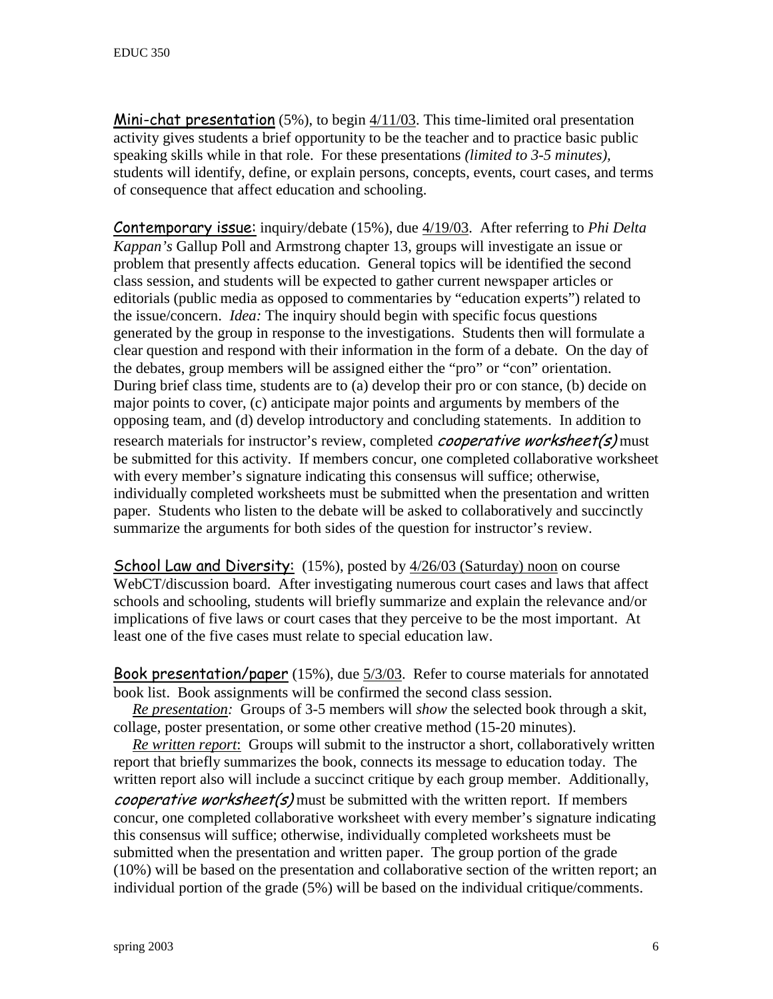Mini-chat presentation (5%), to begin 4/11/03. This time-limited oral presentation activity gives students a brief opportunity to be the teacher and to practice basic public speaking skills while in that role. For these presentations *(limited to 3-5 minutes),* students will identify, define, or explain persons, concepts, events, court cases, and terms of consequence that affect education and schooling.

Contemporary issue: inquiry/debate (15%), due 4/19/03. After referring to *Phi Delta Kappan's* Gallup Poll and Armstrong chapter 13, groups will investigate an issue or problem that presently affects education. General topics will be identified the second class session, and students will be expected to gather current newspaper articles or editorials (public media as opposed to commentaries by "education experts") related to the issue/concern. *Idea:* The inquiry should begin with specific focus questions generated by the group in response to the investigations. Students then will formulate a clear question and respond with their information in the form of a debate. On the day of the debates, group members will be assigned either the "pro" or "con" orientation. During brief class time, students are to (a) develop their pro or con stance, (b) decide on major points to cover, (c) anticipate major points and arguments by members of the opposing team, and (d) develop introductory and concluding statements. In addition to research materials for instructor's review, completed *cooperative worksheet(s)* must be submitted for this activity. If members concur, one completed collaborative worksheet with every member's signature indicating this consensus will suffice; otherwise, individually completed worksheets must be submitted when the presentation and written paper. Students who listen to the debate will be asked to collaboratively and succinctly summarize the arguments for both sides of the question for instructor's review.

**School Law and Diversity:** (15%), posted by  $\frac{4}{26/03}$  (Saturday) noon on course WebCT/discussion board. After investigating numerous court cases and laws that affect schools and schooling, students will briefly summarize and explain the relevance and/or implications of five laws or court cases that they perceive to be the most important. At least one of the five cases must relate to special education law.

Book presentation/paper (15%), due 5/3/03. Refer to course materials for annotated book list. Book assignments will be confirmed the second class session.

 *Re presentation:* Groups of 3-5 members will *show* the selected book through a skit, collage, poster presentation, or some other creative method (15-20 minutes).

 *Re written report*: Groups will submit to the instructor a short, collaboratively written report that briefly summarizes the book, connects its message to education today. The written report also will include a succinct critique by each group member. Additionally, *cooperative worksheet(s)* must be submitted with the written report. If members concur, one completed collaborative worksheet with every member's signature indicating this consensus will suffice; otherwise, individually completed worksheets must be submitted when the presentation and written paper. The group portion of the grade (10%) will be based on the presentation and collaborative section of the written report; an individual portion of the grade (5%) will be based on the individual critique/comments.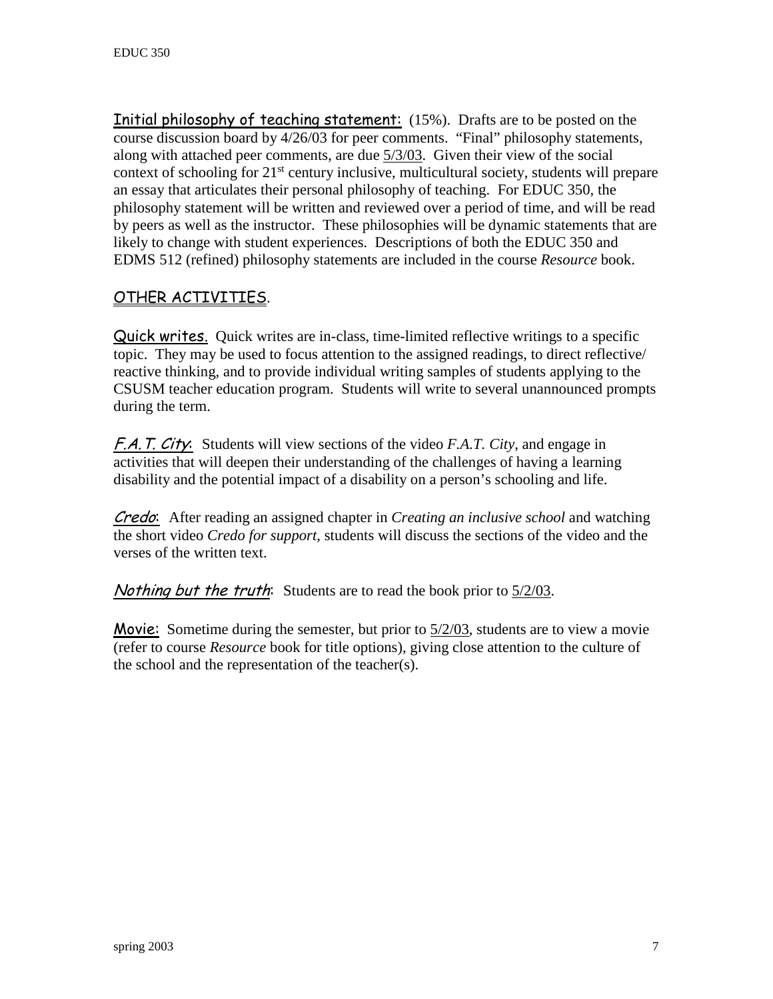Initial philosophy of teaching statement: (15%). Drafts are to be posted on the course discussion board by 4/26/03 for peer comments. "Final" philosophy statements, along with attached peer comments, are due 5/3/03. Given their view of the social context of schooling for  $21<sup>st</sup>$  century inclusive, multicultural society, students will prepare an essay that articulates their personal philosophy of teaching. For EDUC 350, the philosophy statement will be written and reviewed over a period of time, and will be read by peers as well as the instructor. These philosophies will be dynamic statements that are likely to change with student experiences. Descriptions of both the EDUC 350 and EDMS 512 (refined) philosophy statements are included in the course *Resource* book.

### OTHER ACTIVITIES.

Quick writes. Quick writes are in-class, time-limited reflective writings to a specific topic. They may be used to focus attention to the assigned readings, to direct reflective/ reactive thinking, and to provide individual writing samples of students applying to the CSUSM teacher education program. Students will write to several unannounced prompts during the term.

F.A.T. City: Students will view sections of the video *F.A.T. City*, and engage in activities that will deepen their understanding of the challenges of having a learning disability and the potential impact of a disability on a person's schooling and life.

Credo: After reading an assigned chapter in *Creating an inclusive school* and watching the short video *Credo for support*, students will discuss the sections of the video and the verses of the written text.

Nothing but the truth: Students are to read the book prior to 5/2/03.

**Movie:** Sometime during the semester, but prior to  $\frac{5}{2003}$ , students are to view a movie (refer to course *Resource* book for title options), giving close attention to the culture of the school and the representation of the teacher(s).